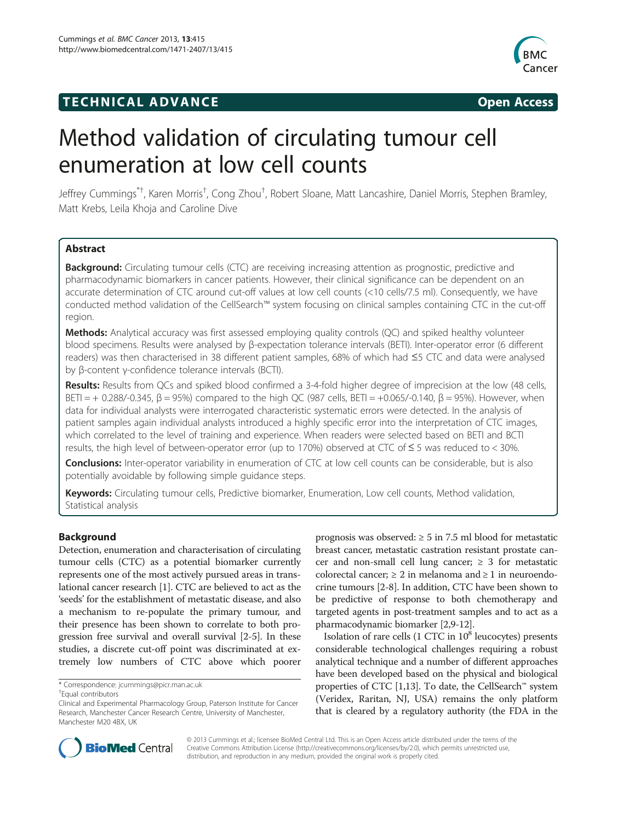## **TECHNICAL ADVANCE CONSUMING A LIGACION** COPEN ACCESS



# Method validation of circulating tumour cell enumeration at low cell counts

Jeffrey Cummings<sup>\*†</sup>, Karen Morris<sup>†</sup>, Cong Zhou<sup>†</sup>, Robert Sloane, Matt Lancashire, Daniel Morris, Stephen Bramley, Matt Krebs, Leila Khoja and Caroline Dive

## Abstract

Background: Circulating tumour cells (CTC) are receiving increasing attention as prognostic, predictive and pharmacodynamic biomarkers in cancer patients. However, their clinical significance can be dependent on an accurate determination of CTC around cut-off values at low cell counts (<10 cells/7.5 ml). Consequently, we have conducted method validation of the CellSearch™ system focusing on clinical samples containing CTC in the cut-off region.

**Methods:** Analytical accuracy was first assessed employing quality controls (QC) and spiked healthy volunteer blood specimens. Results were analysed by β-expectation tolerance intervals (BETI). Inter-operator error (6 different readers) was then characterised in 38 different patient samples, 68% of which had ≤5 CTC and data were analysed by β-content γ-confidence tolerance intervals (BCTI).

Results: Results from QCs and spiked blood confirmed a 3-4-fold higher degree of imprecision at the low (48 cells, BETI = + 0.288/-0.345, β = 95%) compared to the high QC (987 cells, BETI = +0.065/-0.140, β = 95%). However, when data for individual analysts were interrogated characteristic systematic errors were detected. In the analysis of patient samples again individual analysts introduced a highly specific error into the interpretation of CTC images, which correlated to the level of training and experience. When readers were selected based on BETI and BCTI results, the high level of between-operator error (up to 170%) observed at CTC of  $\leq$  5 was reduced to  $<$  30%.

**Conclusions:** Inter-operator variability in enumeration of CTC at low cell counts can be considerable, but is also potentially avoidable by following simple guidance steps.

Keywords: Circulating tumour cells, Predictive biomarker, Enumeration, Low cell counts, Method validation, Statistical analysis

## Background

Detection, enumeration and characterisation of circulating tumour cells (CTC) as a potential biomarker currently represents one of the most actively pursued areas in translational cancer research [[1\]](#page-6-0). CTC are believed to act as the 'seeds' for the establishment of metastatic disease, and also a mechanism to re-populate the primary tumour, and their presence has been shown to correlate to both progression free survival and overall survival [\[2-5](#page-6-0)]. In these studies, a discrete cut-off point was discriminated at extremely low numbers of CTC above which poorer

prognosis was observed:  $\geq 5$  in 7.5 ml blood for metastatic breast cancer, metastatic castration resistant prostate cancer and non-small cell lung cancer;  $\geq$  3 for metastatic colorectal cancer;  $\geq 2$  in melanoma and  $\geq 1$  in neuroendocrine tumours [\[2-8](#page-6-0)]. In addition, CTC have been shown to be predictive of response to both chemotherapy and targeted agents in post-treatment samples and to act as a pharmacodynamic biomarker [\[2,9-12](#page-6-0)].

Isolation of rare cells  $(1 \text{ CTC} \text{ in } 10^8 \text{ leucocytes})$  presents considerable technological challenges requiring a robust analytical technique and a number of different approaches have been developed based on the physical and biological properties of CTC [[1,13](#page-6-0)]. To date, the CellSearch™ system (Veridex, Raritan, NJ, USA) remains the only platform that is cleared by a regulatory authority (the FDA in the



© 2013 Cummings et al.; licensee BioMed Central Ltd. This is an Open Access article distributed under the terms of the Creative Commons Attribution License (<http://creativecommons.org/licenses/by/2.0>), which permits unrestricted use, distribution, and reproduction in any medium, provided the original work is properly cited.

<sup>\*</sup> Correspondence: [jcummings@picr.man.ac.uk](mailto:jcummings@picr.man.ac.uk) †

Equal contributors

Clinical and Experimental Pharmacology Group, Paterson Institute for Cancer Research, Manchester Cancer Research Centre, University of Manchester, Manchester M20 4BX, UK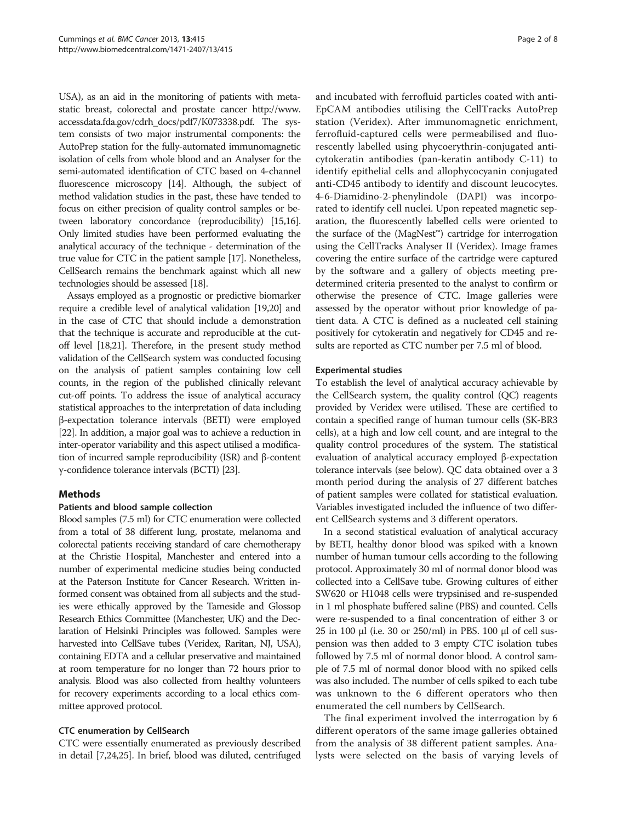USA), as an aid in the monitoring of patients with metastatic breast, colorectal and prostate cancer [http://www.](http://www.accessdata.fda.gov/cdrh_docs/pdf7/K073338.pdf) [accessdata.fda.gov/cdrh\\_docs/pdf7/K073338.pdf.](http://www.accessdata.fda.gov/cdrh_docs/pdf7/K073338.pdf) The system consists of two major instrumental components: the AutoPrep station for the fully-automated immunomagnetic isolation of cells from whole blood and an Analyser for the semi-automated identification of CTC based on 4-channel fluorescence microscopy [\[14\]](#page-6-0). Although, the subject of method validation studies in the past, these have tended to focus on either precision of quality control samples or between laboratory concordance (reproducibility) [[15,16](#page-6-0)]. Only limited studies have been performed evaluating the analytical accuracy of the technique - determination of the true value for CTC in the patient sample [\[17\]](#page-6-0). Nonetheless, CellSearch remains the benchmark against which all new technologies should be assessed [\[18\]](#page-6-0).

Assays employed as a prognostic or predictive biomarker require a credible level of analytical validation [\[19,20](#page-6-0)] and in the case of CTC that should include a demonstration that the technique is accurate and reproducible at the cutoff level [[18,21](#page-6-0)]. Therefore, in the present study method validation of the CellSearch system was conducted focusing on the analysis of patient samples containing low cell counts, in the region of the published clinically relevant cut-off points. To address the issue of analytical accuracy statistical approaches to the interpretation of data including β-expectation tolerance intervals (BETI) were employed [[22](#page-6-0)]. In addition, a major goal was to achieve a reduction in inter-operator variability and this aspect utilised a modification of incurred sample reproducibility (ISR) and β-content γ-confidence tolerance intervals (BCTI) [\[23\]](#page-6-0).

## Methods

## Patients and blood sample collection

Blood samples (7.5 ml) for CTC enumeration were collected from a total of 38 different lung, prostate, melanoma and colorectal patients receiving standard of care chemotherapy at the Christie Hospital, Manchester and entered into a number of experimental medicine studies being conducted at the Paterson Institute for Cancer Research. Written informed consent was obtained from all subjects and the studies were ethically approved by the Tameside and Glossop Research Ethics Committee (Manchester, UK) and the Declaration of Helsinki Principles was followed. Samples were harvested into CellSave tubes (Veridex, Raritan, NJ, USA), containing EDTA and a cellular preservative and maintained at room temperature for no longer than 72 hours prior to analysis. Blood was also collected from healthy volunteers for recovery experiments according to a local ethics committee approved protocol.

## CTC enumeration by CellSearch

CTC were essentially enumerated as previously described in detail [\[7,24](#page-6-0),[25](#page-6-0)]. In brief, blood was diluted, centrifuged

and incubated with ferrofluid particles coated with anti-EpCAM antibodies utilising the CellTracks AutoPrep station (Veridex). After immunomagnetic enrichment, ferrofluid-captured cells were permeabilised and fluorescently labelled using phycoerythrin-conjugated anticytokeratin antibodies (pan-keratin antibody C-11) to identify epithelial cells and allophycocyanin conjugated anti-CD45 antibody to identify and discount leucocytes. 4-6-Diamidino-2-phenylindole (DAPI) was incorporated to identify cell nuclei. Upon repeated magnetic separation, the fluorescently labelled cells were oriented to the surface of the (MagNest™) cartridge for interrogation using the CellTracks Analyser II (Veridex). Image frames covering the entire surface of the cartridge were captured by the software and a gallery of objects meeting predetermined criteria presented to the analyst to confirm or otherwise the presence of CTC. Image galleries were assessed by the operator without prior knowledge of patient data. A CTC is defined as a nucleated cell staining positively for cytokeratin and negatively for CD45 and results are reported as CTC number per 7.5 ml of blood.

## Experimental studies

To establish the level of analytical accuracy achievable by the CellSearch system, the quality control (QC) reagents provided by Veridex were utilised. These are certified to contain a specified range of human tumour cells (SK-BR3 cells), at a high and low cell count, and are integral to the quality control procedures of the system. The statistical evaluation of analytical accuracy employed β-expectation tolerance intervals (see below). QC data obtained over a 3 month period during the analysis of 27 different batches of patient samples were collated for statistical evaluation. Variables investigated included the influence of two different CellSearch systems and 3 different operators.

In a second statistical evaluation of analytical accuracy by BETI, healthy donor blood was spiked with a known number of human tumour cells according to the following protocol. Approximately 30 ml of normal donor blood was collected into a CellSave tube. Growing cultures of either SW620 or H1048 cells were trypsinised and re-suspended in 1 ml phosphate buffered saline (PBS) and counted. Cells were re-suspended to a final concentration of either 3 or 25 in 100 μl (i.e. 30 or 250/ml) in PBS. 100 μl of cell suspension was then added to 3 empty CTC isolation tubes followed by 7.5 ml of normal donor blood. A control sample of 7.5 ml of normal donor blood with no spiked cells was also included. The number of cells spiked to each tube was unknown to the 6 different operators who then enumerated the cell numbers by CellSearch.

The final experiment involved the interrogation by 6 different operators of the same image galleries obtained from the analysis of 38 different patient samples. Analysts were selected on the basis of varying levels of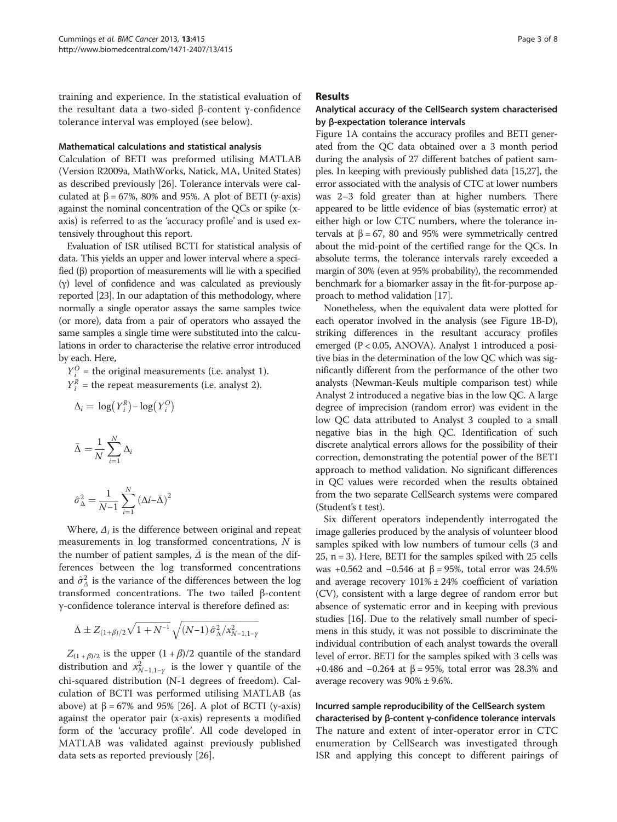training and experience. In the statistical evaluation of the resultant data a two-sided β-content γ-confidence tolerance interval was employed (see below).

#### Mathematical calculations and statistical analysis

Calculation of BETI was preformed utilising MATLAB (Version R2009a, MathWorks, Natick, MA, United States) as described previously [[26](#page-7-0)]. Tolerance intervals were calculated at  $β = 67\%, 80\%$  and 95%. A plot of BETI (y-axis) against the nominal concentration of the QCs or spike (xaxis) is referred to as the 'accuracy profile' and is used extensively throughout this report.

Evaluation of ISR utilised BCTI for statistical analysis of data. This yields an upper and lower interval where a specified (β) proportion of measurements will lie with a specified (γ) level of confidence and was calculated as previously reported [[23](#page-6-0)]. In our adaptation of this methodology, where normally a single operator assays the same samples twice (or more), data from a pair of operators who assayed the same samples a single time were substituted into the calculations in order to characterise the relative error introduced by each. Here,

 $Y_i^O$  = the original measurements (i.e. analyst 1).  $Y_i^R$  = the repeat measurements (i.e. analyst 2).

$$
\Delta_i = \log(Y_i^R) - \log(Y_i^O)
$$

$$
\bar{\Delta} = \frac{1}{N} \sum_{i=1}^{N} \Delta_i
$$

$$
\hat{\sigma}^2_{\Delta} = \frac{1}{N\!-\!1}\sum_{i=1}^N \left(\Delta i\!-\!\bar{\Delta}\right)^2
$$

Where,  $\Delta_i$  is the difference between original and repeat measurements in log transformed concentrations, N is the number of patient samples,  $\overline{\Delta}$  is the mean of the differences between the log transformed concentrations and  $\hat{\sigma}_A^2$  is the variance of the differences between the log transformed concentrations. The two tailed β-content γ-confidence tolerance interval is therefore defined as:

$$
\bar{\Delta} \pm Z_{(1+\beta)/2} \sqrt{1+N^{-1}} \sqrt{(N\!-\!1)\,\hat{\sigma}^2_{\Delta}/x^2_{N-1,1-Y}}
$$

 $Z_{(1 + \beta)/2}$  is the upper  $(1 + \beta)/2$  quantile of the standard distribution and  $x_{N-1,1-\gamma}^2$  is the lower  $\gamma$  quantile of the chi-squared distribution (N-1 degrees of freedom). Calculation of BCTI was performed utilising MATLAB (as above) at  $β = 67%$  and 95% [[26](#page-7-0)]. A plot of BCTI (y-axis) against the operator pair (x-axis) represents a modified form of the 'accuracy profile'. All code developed in MATLAB was validated against previously published data sets as reported previously [[26\]](#page-7-0).

#### **Results**

## Analytical accuracy of the CellSearch system characterised by β-expectation tolerance intervals

Figure [1](#page-3-0)A contains the accuracy profiles and BETI generated from the QC data obtained over a 3 month period during the analysis of 27 different batches of patient samples. In keeping with previously published data [\[15](#page-6-0)[,27\]](#page-7-0), the error associated with the analysis of CTC at lower numbers was 2–3 fold greater than at higher numbers. There appeared to be little evidence of bias (systematic error) at either high or low CTC numbers, where the tolerance intervals at  $β = 67$ , 80 and 95% were symmetrically centred about the mid-point of the certified range for the QCs. In absolute terms, the tolerance intervals rarely exceeded a margin of 30% (even at 95% probability), the recommended benchmark for a biomarker assay in the fit-for-purpose approach to method validation [\[17\]](#page-6-0).

Nonetheless, when the equivalent data were plotted for each operator involved in the analysis (see Figure [1](#page-3-0)B-D), striking differences in the resultant accuracy profiles emerged (P < 0.05, ANOVA). Analyst 1 introduced a positive bias in the determination of the low QC which was significantly different from the performance of the other two analysts (Newman-Keuls multiple comparison test) while Analyst 2 introduced a negative bias in the low QC. A large degree of imprecision (random error) was evident in the low QC data attributed to Analyst 3 coupled to a small negative bias in the high QC. Identification of such discrete analytical errors allows for the possibility of their correction, demonstrating the potential power of the BETI approach to method validation. No significant differences in QC values were recorded when the results obtained from the two separate CellSearch systems were compared (Student's t test).

Six different operators independently interrogated the image galleries produced by the analysis of volunteer blood samples spiked with low numbers of tumour cells (3 and 25, n = 3). Here, BETI for the samples spiked with 25 cells was +0.562 and  $-0.546$  at β = 95%, total error was 24.5% and average recovery 101% ± 24% coefficient of variation (CV), consistent with a large degree of random error but absence of systematic error and in keeping with previous studies [[16](#page-6-0)]. Due to the relatively small number of specimens in this study, it was not possible to discriminate the individual contribution of each analyst towards the overall level of error. BETI for the samples spiked with 3 cells was +0.486 and  $-0.264$  at β = 95%, total error was 28.3% and average recovery was 90% ± 9.6%.

## Incurred sample reproducibility of the CellSearch system characterised by β-content γ-confidence tolerance intervals The nature and extent of inter-operator error in CTC enumeration by CellSearch was investigated through ISR and applying this concept to different pairings of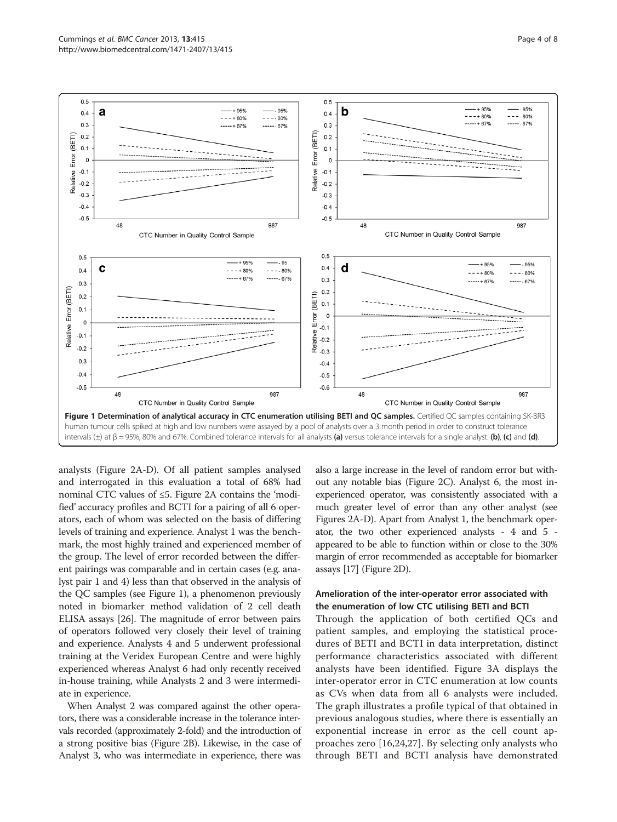<span id="page-3-0"></span>

analysts (Figure [2A](#page-4-0)-D). Of all patient samples analysed and interrogated in this evaluation a total of 68% had nominal CTC values of ≤5. Figure [2](#page-4-0)A contains the 'modified' accuracy profiles and BCTI for a pairing of all 6 operators, each of whom was selected on the basis of differing levels of training and experience. Analyst 1 was the benchmark, the most highly trained and experienced member of the group. The level of error recorded between the different pairings was comparable and in certain cases (e.g. analyst pair 1 and 4) less than that observed in the analysis of the QC samples (see Figure 1), a phenomenon previously noted in biomarker method validation of 2 cell death ELISA assays [[26](#page-7-0)]. The magnitude of error between pairs of operators followed very closely their level of training and experience. Analysts 4 and 5 underwent professional training at the Veridex European Centre and were highly experienced whereas Analyst 6 had only recently received in-house training, while Analysts 2 and 3 were intermediate in experience.

When Analyst 2 was compared against the other operators, there was a considerable increase in the tolerance intervals recorded (approximately 2-fold) and the introduction of a strong positive bias (Figure [2B](#page-4-0)). Likewise, in the case of Analyst 3, who was intermediate in experience, there was also a large increase in the level of random error but without any notable bias (Figure [2C](#page-4-0)). Analyst 6, the most inexperienced operator, was consistently associated with a much greater level of error than any other analyst (see Figures [2A](#page-4-0)-D). Apart from Analyst 1, the benchmark operator, the two other experienced analysts - 4 and 5 appeared to be able to function within or close to the 30% margin of error recommended as acceptable for biomarker assays [\[17\]](#page-6-0) (Figure [2D](#page-4-0)).

## Amelioration of the inter-operator error associated with the enumeration of low CTC utilising BETI and BCTI

Through the application of both certified QCs and patient samples, and employing the statistical procedures of BETI and BCTI in data interpretation, distinct performance characteristics associated with different analysts have been identified. Figure [3](#page-4-0)A displays the inter-operator error in CTC enumeration at low counts as CVs when data from all 6 analysts were included. The graph illustrates a profile typical of that obtained in previous analogous studies, where there is essentially an exponential increase in error as the cell count approaches zero [[16,24](#page-6-0),[27\]](#page-7-0). By selecting only analysts who through BETI and BCTI analysis have demonstrated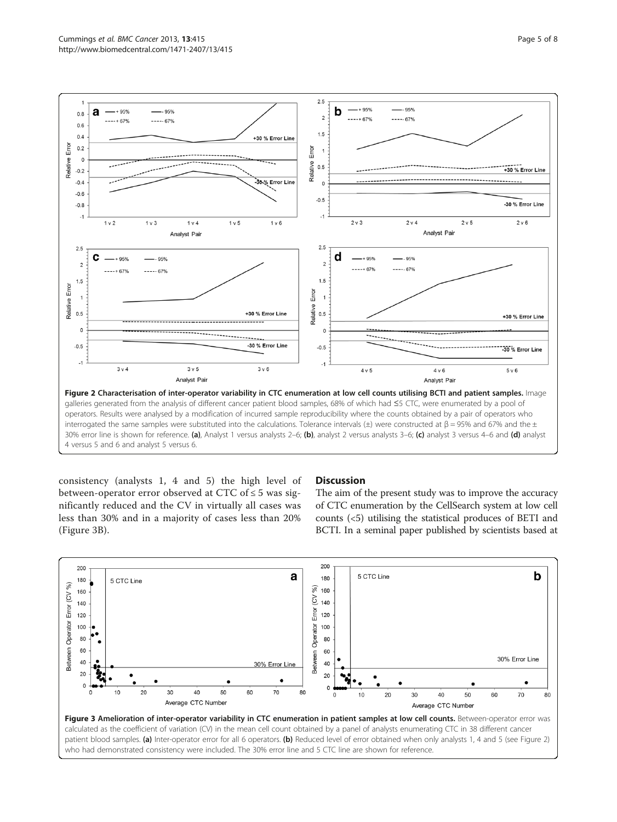<span id="page-4-0"></span>

consistency (analysts 1, 4 and 5) the high level of between-operator error observed at CTC of  $\leq$  5 was significantly reduced and the CV in virtually all cases was less than 30% and in a majority of cases less than 20% (Figure 3B).

## **Discussion**

The aim of the present study was to improve the accuracy of CTC enumeration by the CellSearch system at low cell counts (<5) utilising the statistical produces of BETI and BCTI. In a seminal paper published by scientists based at

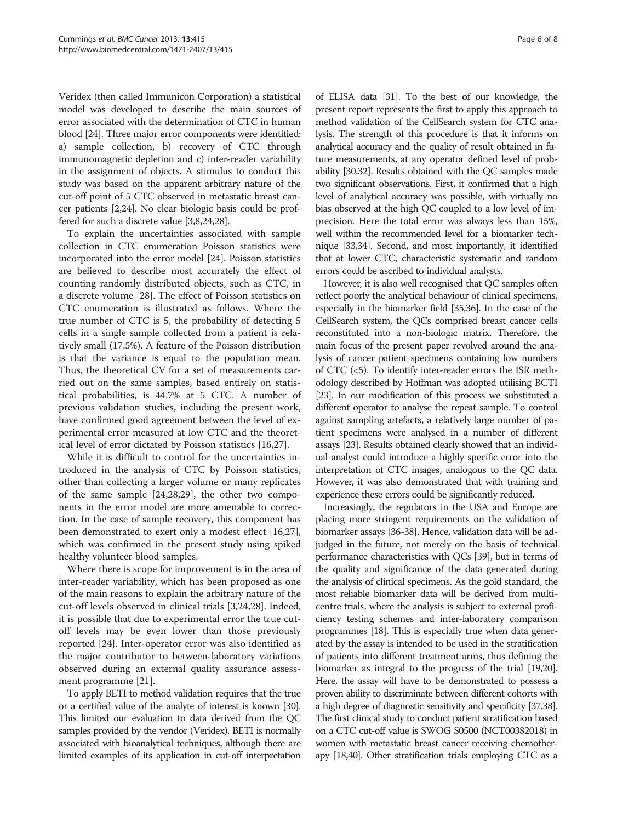Veridex (then called Immunicon Corporation) a statistical model was developed to describe the main sources of error associated with the determination of CTC in human blood [\[24\]](#page-6-0). Three major error components were identified: a) sample collection, b) recovery of CTC through immunomagnetic depletion and c) inter-reader variability in the assignment of objects. A stimulus to conduct this study was based on the apparent arbitrary nature of the cut-off point of 5 CTC observed in metastatic breast cancer patients [[2,24](#page-6-0)]. No clear biologic basis could be proffered for such a discrete value [[3,8,24](#page-6-0)[,28\]](#page-7-0).

To explain the uncertainties associated with sample collection in CTC enumeration Poisson statistics were incorporated into the error model [\[24\]](#page-6-0). Poisson statistics are believed to describe most accurately the effect of counting randomly distributed objects, such as CTC, in a discrete volume [[28\]](#page-7-0). The effect of Poisson statistics on CTC enumeration is illustrated as follows. Where the true number of CTC is 5, the probability of detecting 5 cells in a single sample collected from a patient is relatively small (17.5%). A feature of the Poisson distribution is that the variance is equal to the population mean. Thus, the theoretical CV for a set of measurements carried out on the same samples, based entirely on statistical probabilities, is 44.7% at 5 CTC. A number of previous validation studies, including the present work, have confirmed good agreement between the level of experimental error measured at low CTC and the theoretical level of error dictated by Poisson statistics [\[16](#page-6-0)[,27](#page-7-0)].

While it is difficult to control for the uncertainties introduced in the analysis of CTC by Poisson statistics, other than collecting a larger volume or many replicates of the same sample [\[24](#page-6-0)[,28,29\]](#page-7-0), the other two components in the error model are more amenable to correction. In the case of sample recovery, this component has been demonstrated to exert only a modest effect [\[16](#page-6-0)[,27](#page-7-0)], which was confirmed in the present study using spiked healthy volunteer blood samples.

Where there is scope for improvement is in the area of inter-reader variability, which has been proposed as one of the main reasons to explain the arbitrary nature of the cut-off levels observed in clinical trials [[3,24,](#page-6-0)[28\]](#page-7-0). Indeed, it is possible that due to experimental error the true cutoff levels may be even lower than those previously reported [\[24](#page-6-0)]. Inter-operator error was also identified as the major contributor to between-laboratory variations observed during an external quality assurance assessment programme [[21\]](#page-6-0).

To apply BETI to method validation requires that the true or a certified value of the analyte of interest is known [\[30](#page-7-0)]. This limited our evaluation to data derived from the QC samples provided by the vendor (Veridex). BETI is normally associated with bioanalytical techniques, although there are limited examples of its application in cut-off interpretation

of ELISA data [\[31](#page-7-0)]. To the best of our knowledge, the present report represents the first to apply this approach to method validation of the CellSearch system for CTC analysis. The strength of this procedure is that it informs on analytical accuracy and the quality of result obtained in future measurements, at any operator defined level of probability [\[30,32\]](#page-7-0). Results obtained with the QC samples made two significant observations. First, it confirmed that a high level of analytical accuracy was possible, with virtually no bias observed at the high QC coupled to a low level of imprecision. Here the total error was always less than 15%, well within the recommended level for a biomarker technique [[33,34\]](#page-7-0). Second, and most importantly, it identified that at lower CTC, characteristic systematic and random errors could be ascribed to individual analysts.

However, it is also well recognised that QC samples often reflect poorly the analytical behaviour of clinical specimens, especially in the biomarker field [[35,36](#page-7-0)]. In the case of the CellSearch system, the QCs comprised breast cancer cells reconstituted into a non-biologic matrix. Therefore, the main focus of the present paper revolved around the analysis of cancer patient specimens containing low numbers of CTC (<5). To identify inter-reader errors the ISR methodology described by Hoffman was adopted utilising BCTI [[23](#page-6-0)]. In our modification of this process we substituted a different operator to analyse the repeat sample. To control against sampling artefacts, a relatively large number of patient specimens were analysed in a number of different assays [\[23](#page-6-0)]. Results obtained clearly showed that an individual analyst could introduce a highly specific error into the interpretation of CTC images, analogous to the QC data. However, it was also demonstrated that with training and experience these errors could be significantly reduced.

Increasingly, the regulators in the USA and Europe are placing more stringent requirements on the validation of biomarker assays [\[36-38\]](#page-7-0). Hence, validation data will be adjudged in the future, not merely on the basis of technical performance characteristics with QCs [[39](#page-7-0)], but in terms of the quality and significance of the data generated during the analysis of clinical specimens. As the gold standard, the most reliable biomarker data will be derived from multicentre trials, where the analysis is subject to external proficiency testing schemes and inter-laboratory comparison programmes [\[18](#page-6-0)]. This is especially true when data generated by the assay is intended to be used in the stratification of patients into different treatment arms, thus defining the biomarker as integral to the progress of the trial [\[19,20](#page-6-0)]. Here, the assay will have to be demonstrated to possess a proven ability to discriminate between different cohorts with a high degree of diagnostic sensitivity and specificity [\[37,38](#page-7-0)]. The first clinical study to conduct patient stratification based on a CTC cut-off value is SWOG S0500 (NCT00382018) in women with metastatic breast cancer receiving chemotherapy [\[18](#page-6-0)[,40](#page-7-0)]. Other stratification trials employing CTC as a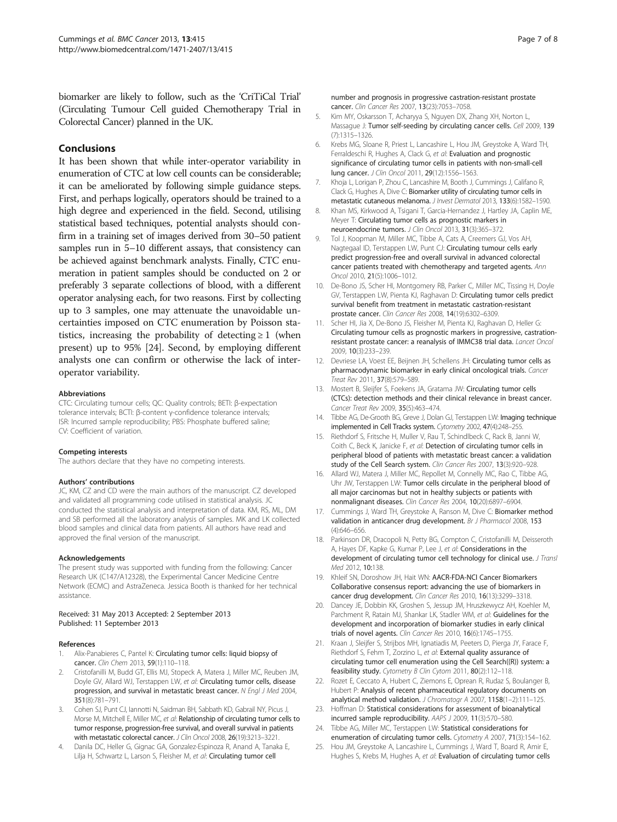<span id="page-6-0"></span>biomarker are likely to follow, such as the 'CriTiCal Trial' (Circulating Tumour Cell guided Chemotherapy Trial in Colorectal Cancer) planned in the UK.

## **Conclusions**

It has been shown that while inter-operator variability in enumeration of CTC at low cell counts can be considerable; it can be ameliorated by following simple guidance steps. First, and perhaps logically, operators should be trained to a high degree and experienced in the field. Second, utilising statistical based techniques, potential analysts should confirm in a training set of images derived from 30–50 patient samples run in 5–10 different assays, that consistency can be achieved against benchmark analysts. Finally, CTC enumeration in patient samples should be conducted on 2 or preferably 3 separate collections of blood, with a different operator analysing each, for two reasons. First by collecting up to 3 samples, one may attenuate the unavoidable uncertainties imposed on CTC enumeration by Poisson statistics, increasing the probability of detecting  $\geq 1$  (when present) up to 95% [24]. Second, by employing different analysts one can confirm or otherwise the lack of interoperator variability.

#### Abbreviations

CTC: Circulating tumour cells; QC: Quality controls; BETI: β-expectation tolerance intervals; BCTI: β-content γ-confidence tolerance intervals; ISR: Incurred sample reproducibility; PBS: Phosphate buffered saline; CV: Coefficient of variation.

#### Competing interests

The authors declare that they have no competing interests.

#### Authors' contributions

JC, KM, CZ and CD were the main authors of the manuscript. CZ developed and validated all programming code utilised in statistical analysis. JC conducted the statistical analysis and interpretation of data. KM, RS, ML, DM and SB performed all the laboratory analysis of samples. MK and LK collected blood samples and clinical data from patients. All authors have read and approved the final version of the manuscript.

#### Acknowledgements

The present study was supported with funding from the following: Cancer Research UK (C147/A12328), the Experimental Cancer Medicine Centre Network (ECMC) and AstraZeneca. Jessica Booth is thanked for her technical assistance.

#### Received: 31 May 2013 Accepted: 2 September 2013 Published: 11 September 2013

#### References

- Alix-Panabieres C, Pantel K: Circulating tumor cells: liquid biopsy of cancer. Clin Chem 2013, 59(1):110-118.
- 2. Cristofanilli M, Budd GT, Ellis MJ, Stopeck A, Matera J, Miller MC, Reuben JM, Doyle GV, Allard WJ, Terstappen LW, et al: Circulating tumor cells, disease progression, and survival in metastatic breast cancer. N Engl J Med 2004, 351(8):781–791.
- Cohen SJ, Punt CJ, Iannotti N, Saidman BH, Sabbath KD, Gabrail NY, Picus J, Morse M, Mitchell E, Miller MC, et al: Relationship of circulating tumor cells to tumor response, progression-free survival, and overall survival in patients with metastatic colorectal cancer. J Clin Oncol 2008, 26(19):3213–3221.
- 4. Danila DC, Heller G, Gignac GA, Gonzalez-Espinoza R, Anand A, Tanaka E, Lilja H, Schwartz L, Larson S, Fleisher M, et al: Circulating tumor cell

number and prognosis in progressive castration-resistant prostate cancer. Clin Cancer Res 2007, 13(23):7053–7058.

- 5. Kim MY, Oskarsson T, Acharyya S, Nguyen DX, Zhang XH, Norton L, Massague J: Tumor self-seeding by circulating cancer cells. Cell 2009, 139 (7):1315–1326.
- 6. Krebs MG, Sloane R, Priest L, Lancashire L, Hou JM, Greystoke A, Ward TH, Ferraldeschi R, Hughes A, Clack G, et al: Evaluation and prognostic significance of circulating tumor cells in patients with non-small-cell lung cancer. J Clin Oncol 2011, 29(12):1556–1563.
- 7. Khoja L, Lorigan P, Zhou C, Lancashire M, Booth J, Cummings J, Califano R, Clack G, Hughes A, Dive C: Biomarker utility of circulating tumor cells in metastatic cutaneous melanoma. J Invest Dermatol 2013, 133(6):1582–1590.
- Khan MS, Kirkwood A, Tsigani T, Garcia-Hernandez J, Hartley JA, Caplin ME, Meyer T: Circulating tumor cells as prognostic markers in neuroendocrine tumors. J Clin Oncol 2013, 31(3):365–372.
- 9. Tol J, Koopman M, Miller MC, Tibbe A, Cats A, Creemers GJ, Vos AH, Nagtegaal ID, Terstappen LW, Punt CJ: Circulating tumour cells early predict progression-free and overall survival in advanced colorectal cancer patients treated with chemotherapy and targeted agents. Ann Oncol 2010, 21(5):1006–1012.
- 10. De-Bono JS, Scher HI, Montgomery RB, Parker C, Miller MC, Tissing H, Doyle GV, Terstappen LW, Pienta KJ, Raghavan D: Circulating tumor cells predict survival benefit from treatment in metastatic castration-resistant prostate cancer. Clin Cancer Res 2008, 14(19):6302–6309.
- 11. Scher HI, Jia X, De-Bono JS, Fleisher M, Pienta KJ, Raghavan D, Heller G: Circulating tumour cells as prognostic markers in progressive, castrationresistant prostate cancer: a reanalysis of IMMC38 trial data. Lancet Oncol 2009, 10(3):233–239.
- 12. Devriese LA, Voest EE, Beijnen JH, Schellens JH: Circulating tumor cells as pharmacodynamic biomarker in early clinical oncological trials. Cancer Treat Rev 2011, 37(8):579–589.
- 13. Mostert B, Sleijfer S, Foekens JA, Gratama JW: Circulating tumor cells (CTCs): detection methods and their clinical relevance in breast cancer. Cancer Treat Rev 2009, 35(5):463–474.
- 14. Tibbe AG, De-Grooth BG, Greve J, Dolan GJ, Terstappen LW: Imaging technique implemented in Cell Tracks system. Cytometry 2002, 47(4):248–255.
- 15. Riethdorf S, Fritsche H, Muller V, Rau T, Schindlbeck C, Rack B, Janni W, Coith C, Beck K, Janicke F, et al: Detection of circulating tumor cells in peripheral blood of patients with metastatic breast cancer: a validation study of the Cell Search system. Clin Cancer Res 2007, 13(3):920–928.
- 16. Allard WJ, Matera J, Miller MC, Repollet M, Connelly MC, Rao C, Tibbe AG, Uhr JW, Terstappen LW: Tumor cells circulate in the peripheral blood of all major carcinomas but not in healthy subjects or patients with nonmalignant diseases. Clin Cancer Res 2004, 10(20):6897–6904.
- 17. Cummings J, Ward TH, Greystoke A, Ranson M, Dive C: Biomarker method validation in anticancer drug development. Br J Pharmacol 2008, 153 (4):646–656.
- 18. Parkinson DR, Dracopoli N, Petty BG, Compton C, Cristofanilli M, Deisseroth A, Hayes DF, Kapke G, Kumar P, Lee J, et al: Considerations in the development of circulating tumor cell technology for clinical use. J Transl Med 2012, 10:138.
- 19. Khleif SN, Doroshow JH, Hait WN: AACR-FDA-NCI Cancer Biomarkers Collaborative consensus report: advancing the use of biomarkers in cancer drug development. Clin Cancer Res 2010, 16(13):3299–3318.
- 20. Dancey JE, Dobbin KK, Groshen S, Jessup JM, Hruszkewycz AH, Koehler M, Parchment R, Ratain MJ, Shankar LK, Stadler WM, et al: Guidelines for the development and incorporation of biomarker studies in early clinical trials of novel agents. Clin Cancer Res 2010, 16(6):1745–1755.
- 21. Kraan J, Sleijfer S, Strijbos MH, Ignatiadis M, Peeters D, Pierga JY, Farace F, Riethdorf S, Fehm T, Zorzino L, et al: External quality assurance of circulating tumor cell enumeration using the Cell Search((R)) system: a feasibility study. Cytometry B Clin Cytom 2011, 80(2):112–118.
- 22. Rozet E, Ceccato A, Hubert C, Ziemons E, Oprean R, Rudaz S, Boulanger B, Hubert P: Analysis of recent pharmaceutical regulatory documents on analytical method validation. J Chromatogr A 2007, 1158(1–2):111–125.
- 23. Hoffman D: Statistical considerations for assessment of bioanalytical incurred sample reproducibility. AAPS J 2009, 11(3):570–580.
- 24. Tibbe AG, Miller MC, Terstappen LW: Statistical considerations for enumeration of circulating tumor cells. Cytometry A 2007, 71(3):154–162.
- 25. Hou JM, Greystoke A, Lancashire L, Cummings J, Ward T, Board R, Amir E, Hughes S, Krebs M, Hughes A, et al: Evaluation of circulating tumor cells